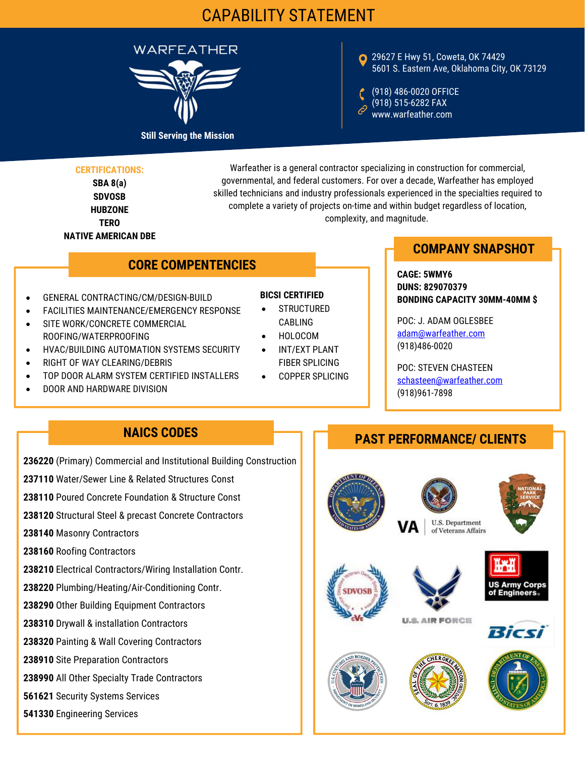# CAPABILITY STATEMENT



#### 29627 E Hwy 51, Coweta, OK 74429 5601 S. Eastern Ave, Oklahoma City, OK 73129

(918) 486-0020 OFFICE (918) 515-6282 FAX www.warfeather.com

#### **CERTIFICATIONS:**

**SBA 8(a) SDVOSB HUBZONE TERO NATIVE AMERICAN DBE**

Warfeather is a general contractor specializing in construction for commercial, governmental, and federal customers. For over a decade, Warfeather has employed skilled technicians and industry professionals experienced in the specialties required to complete a variety of projects on-time and within budget regardless of location, complexity, and magnitude.

## **CORE COMPENTENCIES**

- **GENERAL CONTRACTING/CM/DESIGN-BUILD**
- FACILITIES MAINTENANCE/EMERGENCY RESPONSE
- SITE WORK/CONCRETE COMMERCIAL ROOFING/WATERPROOFING
- HVAC/BUILDING AUTOMATION SYSTEMS SECURITY •
- RIGHT OF WAY CLEARING/DEBRIS
- TOP DOOR ALARM SYSTEM CERTIFIED INSTALLERS
- **DOOR AND HARDWARE DIVISION**

#### **BICSI CERTIFIED**

- **STRUCTURED** CABLING
- 
- INT/EXT PLANT FIBER SPLICING
- COPPER SPLICING

## **COMPANY SNAPSHOT**

**CAGE: 5WMY6 DUNS: 829070379 BONDING CAPACITY 30MM-40MM \$**

 HOLOCOM adam@warfeather.com POC: J. ADAM OGLESBEE (918)486-0020

> POC: STEVEN CHASTEEN [schasteen@warfeather.com](mailto:Mschasteen@warfeather.com) (918)961-7898

## **NAICS CODES**

- **236220** (Primary) Commercial and Institutional Building Construction
- **237110** Water/Sewer Line & Related Structures Const
- **238110** Poured Concrete Foundation & Structure Const
- **238120** Structural Steel & precast Concrete Contractors
- **238140** Masonry Contractors
- **238160** Roofing Contractors
- **238210** Electrical Contractors/Wiring Installation Contr.
- **238220** Plumbing/Heating/Air-Conditioning Contr.
- **238290** Other Building Equipment Contractors
- **238310** Drywall & installation Contractors
- **238320** Painting & Wall Covering Contractors
- **238910** Site Preparation Contractors
- **238990** All Other Specialty Trade Contractors
- **561621** Security Systems Services
- **541330** Engineering Services

#### **PAST PERFORMANCE/ CLIENTS**